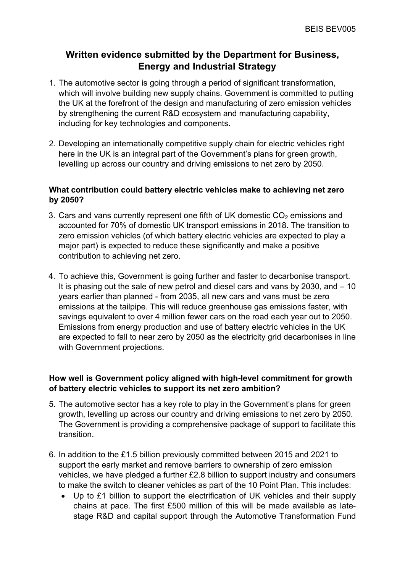# **Written evidence submitted by the Department for Business, Energy and Industrial Strategy**

- 1. The automotive sector is going through a period of significant transformation, which will involve building new supply chains. Government is committed to putting the UK at the forefront of the design and manufacturing of zero emission vehicles by strengthening the current R&D ecosystem and manufacturing capability, including for key technologies and components.
- 2. Developing an internationally competitive supply chain for electric vehicles right here in the UK is an integral part of the Government's plans for green growth, levelling up across our country and driving emissions to net zero by 2050.

## **What contribution could battery electric vehicles make to achieving net zero by 2050?**

- 3. Cars and vans currently represent one fifth of UK domestic  $CO<sub>2</sub>$  emissions and accounted for 70% of domestic UK transport emissions in 2018. The transition to zero emission vehicles (of which battery electric vehicles are expected to play a major part) is expected to reduce these significantly and make a positive contribution to achieving net zero.
- 4. To achieve this, Government is going further and faster to decarbonise transport. It is phasing out the sale of new petrol and diesel cars and vans by 2030, and – 10 years earlier than planned - from 2035, all new cars and vans must be zero emissions at the tailpipe. This will reduce greenhouse gas emissions faster, with savings equivalent to over 4 million fewer cars on the road each year out to 2050. Emissions from energy production and use of battery electric vehicles in the UK are expected to fall to near zero by 2050 as the electricity grid decarbonises in line with Government projections.

# **How well is Government policy aligned with high-level commitment for growth of battery electric vehicles to support its net zero ambition?**

- 5. The automotive sector has a key role to play in the Government's plans for green growth, levelling up across our country and driving emissions to net zero by 2050. The Government is providing a comprehensive package of support to facilitate this transition.
- 6. In addition to the £1.5 billion previously committed between 2015 and 2021 to support the early market and remove barriers to ownership of zero emission vehicles, we have pledged a further £2.8 billion to support industry and consumers to make the switch to cleaner vehicles as part of the 10 Point Plan. This includes:
	- Up to £1 billion to support the electrification of UK vehicles and their supply chains at pace. The first £500 million of this will be made available as latestage R&D and capital support through the Automotive Transformation Fund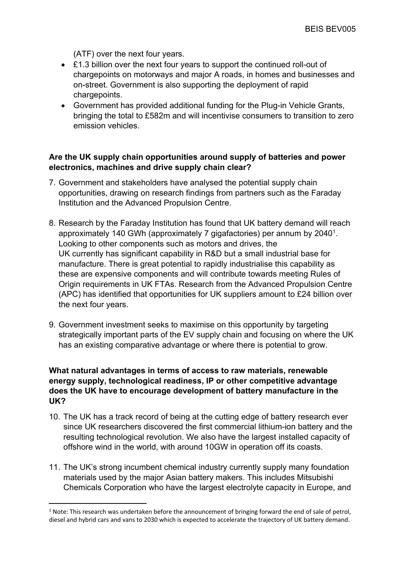(ATF) over the next four years.

- £1.3 billion over the next four years to support the continued roll-out of chargepoints on motorways and major A roads, in homes and businesses and on-street. Government is also supporting the deployment of rapid chargepoints.
- Government has provided additional funding for the Plug-in Vehicle Grants, bringing the total to £582m and will incentivise consumers to transition to zero emission vehicles.

#### **Are the UK supply chain opportunities around supply of batteries and power electronics, machines and drive supply chain clear?**

- 7. Government and stakeholders have analysed the potential supply chain opportunities, drawing on research findings from partners such as the Faraday Institution and the Advanced Propulsion Centre.
- 8. Research by the Faraday Institution has found that UK battery demand will reach approximately 140 GWh (approximately 7 gigafactories) per annum by 2040<sup>1</sup>. Looking to other components such as motors and drives, the UK currently has significant capability in R&D but a small industrial base for manufacture. There is great potential to rapidly industrialise this capability as these are expensive components and will contribute towards meeting Rules of Origin requirements in UK FTAs. Research from the Advanced Propulsion Centre (APC) has identified that opportunities for UK suppliers amount to £24 billion over the next four years.
- 9. Government investment seeks to maximise on this opportunity by targeting strategically important parts of the EV supply chain and focusing on where the UK has an existing comparative advantage or where there is potential to grow.

## **What natural advantages in terms of access to raw materials, renewable energy supply, technological readiness, IP or other competitive advantage does the UK have to encourage development of battery manufacture in the UK?**

- 10. The UK has a track record of being at the cutting edge of battery research ever since UK researchers discovered the first commercial lithium-ion battery and the resulting technological revolution. We also have the largest installed capacity of offshore wind in the world, with around 10GW in operation off its coasts.
- 11. The UK's strong incumbent chemical industry currently supply many foundation materials used by the major Asian battery makers. This includes Mitsubishi Chemicals Corporation who have the largest electrolyte capacity in Europe, and

 $1$  Note: This research was undertaken before the announcement of bringing forward the end of sale of petrol, diesel and hybrid cars and vans to 2030 which is expected to accelerate the trajectory of UK battery demand.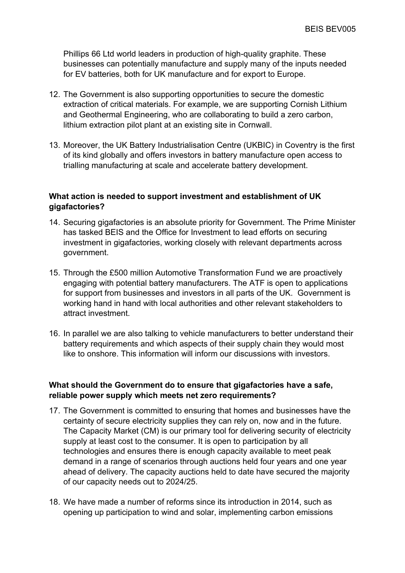Phillips 66 Ltd world leaders in production of high-quality graphite. These businesses can potentially manufacture and supply many of the inputs needed for EV batteries, both for UK manufacture and for export to Europe.

- 12. The Government is also supporting opportunities to secure the domestic extraction of critical materials. For example, we are supporting Cornish Lithium and Geothermal Engineering, who are collaborating to build a zero carbon, lithium extraction pilot plant at an existing site in Cornwall.
- 13. Moreover, the UK Battery Industrialisation Centre (UKBIC) in Coventry is the first of its kind globally and offers investors in battery manufacture open access to trialling manufacturing at scale and accelerate battery development.

### **What action is needed to support investment and establishment of UK gigafactories?**

- 14. Securing gigafactories is an absolute priority for Government. The Prime Minister has tasked BEIS and the Office for Investment to lead efforts on securing investment in gigafactories, working closely with relevant departments across government.
- 15. Through the £500 million Automotive Transformation Fund we are proactively engaging with potential battery manufacturers. The ATF is open to applications for support from businesses and investors in all parts of the UK. Government is working hand in hand with local authorities and other relevant stakeholders to attract investment.
- 16. In parallel we are also talking to vehicle manufacturers to better understand their battery requirements and which aspects of their supply chain they would most like to onshore. This information will inform our discussions with investors.

# **What should the Government do to ensure that gigafactories have a safe, reliable power supply which meets net zero requirements?**

- 17. The Government is committed to ensuring that homes and businesses have the certainty of secure electricity supplies they can rely on, now and in the future. The Capacity Market (CM) is our primary tool for delivering security of electricity supply at least cost to the consumer. It is open to participation by all technologies and ensures there is enough capacity available to meet peak demand in a range of scenarios through auctions held four years and one year ahead of delivery. The capacity auctions held to date have secured the majority of our capacity needs out to 2024/25.
- 18. We have made a number of reforms since its introduction in 2014, such as opening up participation to wind and solar, implementing carbon emissions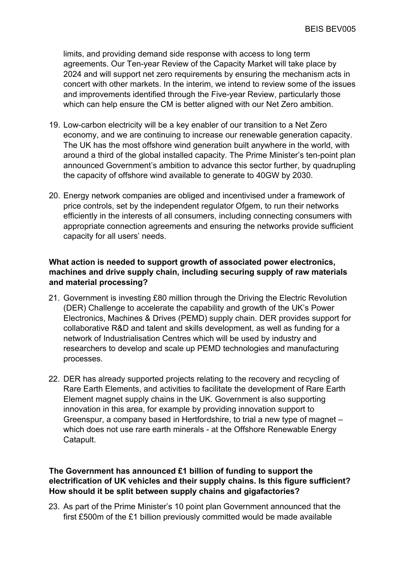limits, and providing demand side response with access to long term agreements. Our Ten-year Review of the Capacity Market will take place by 2024 and will support net zero requirements by ensuring the mechanism acts in concert with other markets. In the interim, we intend to review some of the issues and improvements identified through the Five-year Review, particularly those which can help ensure the CM is better aligned with our Net Zero ambition.

- 19. Low-carbon electricity will be a key enabler of our transition to a Net Zero economy, and we are continuing to increase our renewable generation capacity. The UK has the most offshore wind generation built anywhere in the world, with around a third of the global installed capacity. The Prime Minister's ten-point plan announced Government's ambition to advance this sector further, by quadrupling the capacity of offshore wind available to generate to 40GW by 2030.
- 20. Energy network companies are obliged and incentivised under a framework of price controls, set by the independent regulator Ofgem, to run their networks efficiently in the interests of all consumers, including connecting consumers with appropriate connection agreements and ensuring the networks provide sufficient capacity for all users' needs.

## **What action is needed to support growth of associated power electronics, machines and drive supply chain, including securing supply of raw materials and material processing?**

- 21. Government is investing £80 million through the Driving the Electric Revolution (DER) Challenge to accelerate the capability and growth of the UK's Power Electronics, Machines & Drives (PEMD) supply chain. DER provides support for collaborative R&D and talent and skills development, as well as funding for a network of Industrialisation Centres which will be used by industry and researchers to develop and scale up PEMD technologies and manufacturing processes.
- 22. DER has already supported projects relating to the recovery and recycling of Rare Earth Elements, and activities to facilitate the development of Rare Earth Element magnet supply chains in the UK. Government is also supporting innovation in this area, for example by providing innovation support to Greenspur, a company based in Hertfordshire, to trial a new type of magnet – which does not use rare earth minerals - at the Offshore Renewable Energy Catapult.

## **The Government has announced £1 billion of funding to support the electrification of UK vehicles and their supply chains. Is this figure sufficient? How should it be split between supply chains and gigafactories?**

23. As part of the Prime Minister's 10 point plan Government announced that the first £500m of the £1 billion previously committed would be made available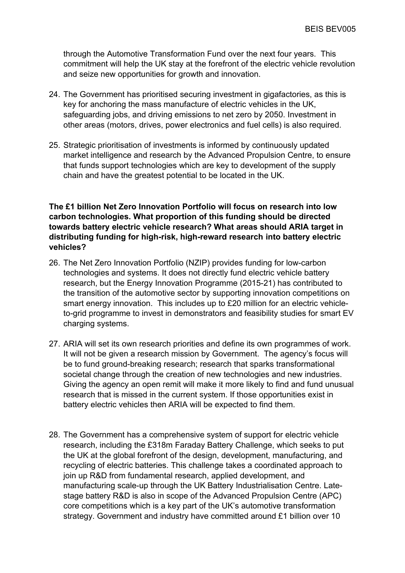through the Automotive Transformation Fund over the next four years. This commitment will help the UK stay at the forefront of the electric vehicle revolution and seize new opportunities for growth and innovation.

- 24. The Government has prioritised securing investment in gigafactories, as this is key for anchoring the mass manufacture of electric vehicles in the UK, safeguarding jobs, and driving emissions to net zero by 2050. Investment in other areas (motors, drives, power electronics and fuel cells) is also required.
- 25. Strategic prioritisation of investments is informed by continuously updated market intelligence and research by the Advanced Propulsion Centre, to ensure that funds support technologies which are key to development of the supply chain and have the greatest potential to be located in the UK.

### **The £1 billion Net Zero Innovation Portfolio will focus on research into low carbon technologies. What proportion of this funding should be directed towards battery electric vehicle research? What areas should ARIA target in distributing funding for high-risk, high-reward research into battery electric vehicles?**

- 26. The Net Zero Innovation Portfolio (NZIP) provides funding for low-carbon technologies and systems. It does not directly fund electric vehicle battery research, but the Energy Innovation Programme (2015-21) has contributed to the transition of the automotive sector by supporting innovation competitions on smart energy innovation. This includes up to £20 million for an electric vehicleto-grid programme to invest in demonstrators and feasibility studies for smart EV charging systems.
- 27. ARIA will set its own research priorities and define its own programmes of work. It will not be given a research mission by Government. The agency's focus will be to fund ground-breaking research; research that sparks transformational societal change through the creation of new technologies and new industries. Giving the agency an open remit will make it more likely to find and fund unusual research that is missed in the current system. If those opportunities exist in battery electric vehicles then ARIA will be expected to find them.
- 28. The Government has a comprehensive system of support for electric vehicle research, including the £318m Faraday Battery Challenge, which seeks to put the UK at the global forefront of the design, development, manufacturing, and recycling of electric batteries. This challenge takes a coordinated approach to join up R&D from fundamental research, applied development, and manufacturing scale-up through the UK Battery Industrialisation Centre. Latestage battery R&D is also in scope of the Advanced Propulsion Centre (APC) core competitions which is a key part of the UK's automotive transformation strategy. Government and industry have committed around £1 billion over 10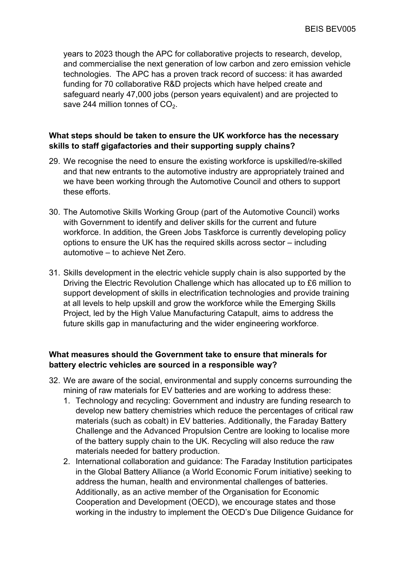years to 2023 though the APC for collaborative projects to research, develop, and commercialise the next generation of low carbon and zero emission vehicle technologies. The APC has a proven track record of success: it has awarded funding for 70 collaborative R&D projects which have helped create and safeguard nearly 47,000 jobs (person years equivalent) and are projected to save 244 million tonnes of  $CO<sub>2</sub>$ .

## **What steps should be taken to ensure the UK workforce has the necessary skills to staff gigafactories and their supporting supply chains?**

- 29. We recognise the need to ensure the existing workforce is upskilled/re-skilled and that new entrants to the automotive industry are appropriately trained and we have been working through the Automotive Council and others to support these efforts.
- 30. The Automotive Skills Working Group (part of the Automotive Council) works with Government to identify and deliver skills for the current and future workforce. In addition, the Green Jobs Taskforce is currently developing policy options to ensure the UK has the required skills across sector – including automotive – to achieve Net Zero.
- 31. Skills development in the electric vehicle supply chain is also supported by the Driving the Electric Revolution Challenge which has allocated up to £6 million to support development of skills in electrification technologies and provide training at all levels to help upskill and grow the workforce while the Emerging Skills Project, led by the High Value Manufacturing Catapult, aims to address the future skills gap in manufacturing and the wider engineering workforce.

# **What measures should the Government take to ensure that minerals for battery electric vehicles are sourced in a responsible way?**

- 32. We are aware of the social, environmental and supply concerns surrounding the mining of raw materials for EV batteries and are working to address these:
	- 1. Technology and recycling: Government and industry are funding research to develop new battery chemistries which reduce the percentages of critical raw materials (such as cobalt) in EV batteries. Additionally, the Faraday Battery Challenge and the Advanced Propulsion Centre are looking to localise more of the battery supply chain to the UK. Recycling will also reduce the raw materials needed for battery production.
	- 2. International collaboration and guidance: The Faraday Institution participates in the Global Battery Alliance (a World Economic Forum initiative) seeking to address the human, health and environmental challenges of batteries. Additionally, as an active member of the Organisation for Economic Cooperation and Development (OECD), we encourage states and those working in the industry to implement the OECD's Due Diligence Guidance for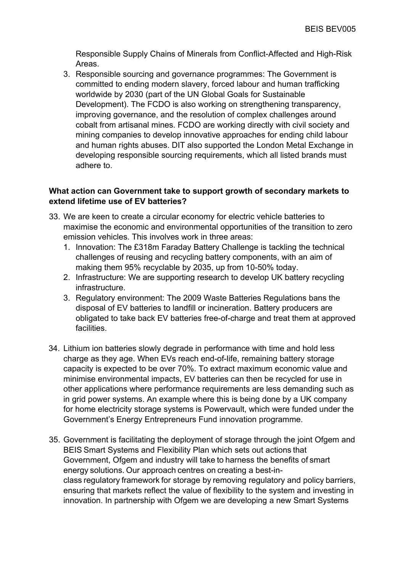Responsible Supply Chains of Minerals from Conflict-Affected and High-Risk Areas.

3. Responsible sourcing and governance programmes: The Government is committed to ending modern slavery, forced labour and human trafficking worldwide by 2030 (part of the UN Global Goals for Sustainable Development). The FCDO is also working on strengthening transparency, improving governance, and the resolution of complex challenges around cobalt from artisanal mines. FCDO are working directly with civil society and mining companies to develop innovative approaches for ending child labour and human rights abuses. DIT also supported the London Metal Exchange in developing responsible sourcing requirements, which all listed brands must adhere to.

#### **What action can Government take to support growth of secondary markets to extend lifetime use of EV batteries?**

- 33. We are keen to create a circular economy for electric vehicle batteries to maximise the economic and environmental opportunities of the transition to zero emission vehicles. This involves work in three areas:
	- 1. Innovation: The £318m Faraday Battery Challenge is tackling the technical challenges of reusing and recycling battery components, with an aim of making them 95% recyclable by 2035, up from 10-50% today.
	- 2. Infrastructure: We are supporting research to develop UK battery recycling infrastructure.
	- 3. Regulatory environment: The 2009 Waste Batteries Regulations bans the disposal of EV batteries to landfill or incineration. Battery producers are obligated to take back EV batteries free-of-charge and treat them at approved facilities.
- 34. Lithium ion batteries slowly degrade in performance with time and hold less charge as they age. When EVs reach end-of-life, remaining battery storage capacity is expected to be over 70%. To extract maximum economic value and minimise environmental impacts, EV batteries can then be recycled for use in other applications where performance requirements are less demanding such as in grid power systems. An example where this is being done by a UK company for home electricity storage systems is Powervault, which were funded under the Government's Energy Entrepreneurs Fund innovation programme.
- 35. Government is facilitating the deployment of storage through the joint Ofgem and BEIS Smart Systems and Flexibility Plan which sets out actions that Government, Ofgem and industry will take to harness the benefits of smart energy solutions. Our approach centres on creating a best-inclass regulatory framework for storage by removing regulatory and policy barriers, ensuring that markets reflect the value of flexibility to the system and investing in innovation. In partnership with Ofgem we are developing a new Smart Systems